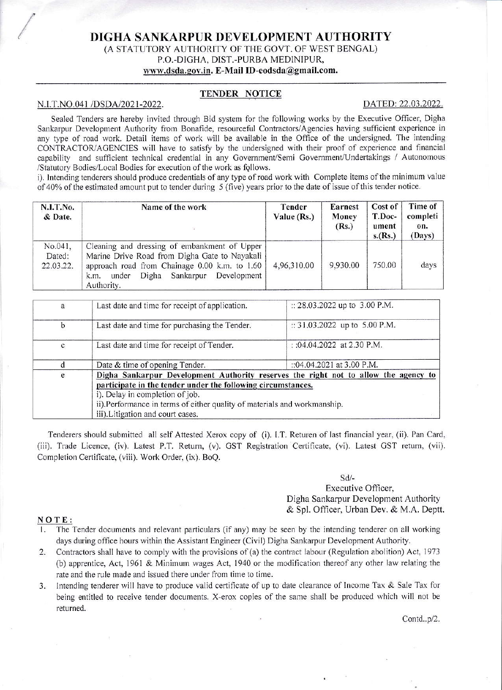# DIGHA SANKARPUR DEVELOPMENT AUTHORITY (A STATUTORY AUTHORITY OF THE GOVT. OF WEST BENGAL) P.O.-DIGHA, DIST.-PURBA MEDINIPUR, www.dsda.gov.in. E-Mail ID-eodsda@gmail.com.

### TENDER NOTICE

#### N.I.T.NO.041 /DSDA/2021-2022.

#### DATED: 22.03.2022.

Sealed Tenders are hereby invited through Bid system for the following works by the Executive Officer, Digha Sankarpur Development Authority from Bonafide, resourceful Contractors/Agencies having sufficient experience in any type of road work. Detail items of work will be available in the Office of the undersigned. The intending CONTRACTOR/AGENCIES will have to satisfy by the undersigned with their proof of experience and financial capability and sufficient technical credential in any Government/Semi Government/Undertakings / Autonomous /Statutory Bodies/Local Bodies for execution of the work as follows.

i). Intending tenderers should produce credentials of any type of road work with Complete items of the minimum value of 40% of the estimated amount put to tender during 5 (five) years prior to the date of issue of this tender notice.

| N.I.T.No.<br>& Date.           | Name of the work                                                                                                                                                                                                | Tender<br>Value (Rs.) | Earnest<br><b>Money</b><br>(Rs.) | Cost of<br>T.Doc-<br>ument<br>s.(Rs.) | Time of<br>completi<br>on.<br>(Days) |
|--------------------------------|-----------------------------------------------------------------------------------------------------------------------------------------------------------------------------------------------------------------|-----------------------|----------------------------------|---------------------------------------|--------------------------------------|
| No.041,<br>Dated:<br>22.03.22. | Cleaning and dressing of embankment of Upper<br>Marine Drive Road from Digha Gate to Nayakali<br>approach road from Chainage 0.00 k.m. to 1.60<br>Digha Sankarpur<br>Development<br>under<br>k.m.<br>Authority. | 4,96,310.00           | 9,930.00                         | 750.00                                | days                                 |

| a            | Last date and time for receipt of application.                                      | :: 28.03.2022 up to 3.00 P.M. |  |  |
|--------------|-------------------------------------------------------------------------------------|-------------------------------|--|--|
| $\mathbf b$  | Last date and time for purchasing the Tender.                                       | :: 31.03.2022 up to 5.00 P.M. |  |  |
| $\mathbf{C}$ | Last date and time for receipt of Tender.                                           | : :04.04.2022 at 2.30 P.M.    |  |  |
|              | Date & time of opening Tender.                                                      | :: 04.04.2021 at 3.00 P.M.    |  |  |
| e            | Digha Sankarpur Development Authority reserves the right not to allow the agency to |                               |  |  |
|              | participate in the tender under the following circumstances.                        |                               |  |  |
|              | i). Delay in completion of job.                                                     |                               |  |  |
|              | ii).Performance in terms of either quality of materials and workmanship.            |                               |  |  |
|              | iii). Litigation and court cases.                                                   |                               |  |  |

Tenderers should submitted all self Attested Xerox copy of (i). I.T. Returen of last financial year, (ii). Pan Card, (iii). Trade Licence, (iv). Latest P.T. Return, (v). GST Registration Certificate, (vi). Latest GST return, (vii). Completion Certificate, (viii). Work Order, (ix). BoQ.

#### $Sd$ /-

## Executive Officer. Digha Sankarpur Development Authority & Spl. Officer, Urban Dev. & M.A. Deptt.

## NOTE:

- 1. The Tender documents and relevant particulars (if any) may be seen by the intending tenderer on all working days during office hours within the Assistant Engineer (Civil) Digha Sankarpur Development Authority.
- Contractors shall have to comply with the provisions of (a) the contract labour (Regulation abolition) Act, 1973  $2.$ (b) apprentice, Act, 1961 & Minimum wages Act, 1940 or the modification thereof any other law relating the rate and the rule made and issued there under from time to time.
- 3. Intending tenderer will have to produce valid certificate of up to date clearance of Income Tax & Sale Tax for being entitled to receive tender documents. X-erox copies of the same shall be produced which will not be returned.

Contd..p/2.